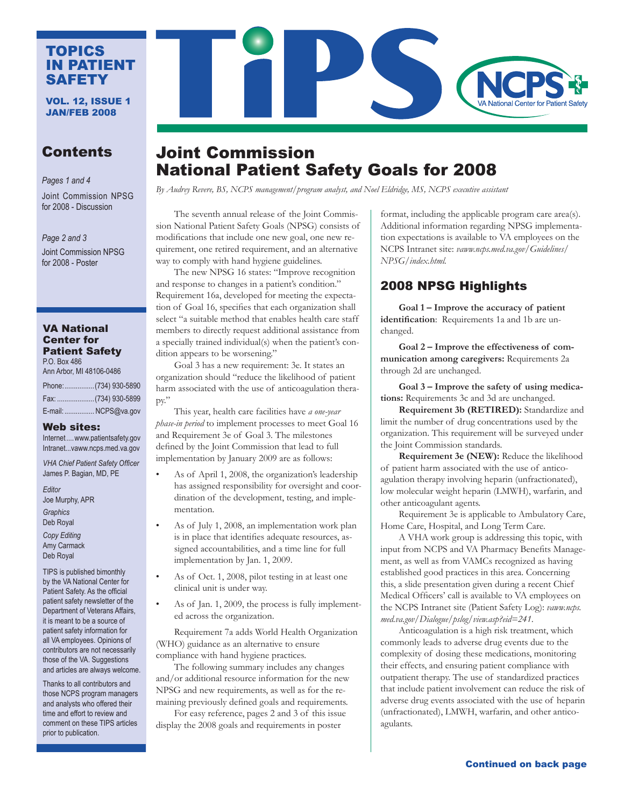### TOPICS IN PATIENT SAFETY

VOL. 12, ISSUE 1 JAN/FEB 2008

# **Contents**

*Pages 1 and 4*

Joint Commission NPSG for 2008 - Discussion

*Page 2 and 3* Joint Commission NPSG for 2008 - Poster

#### VA National Center for Patient Safety P.O. Box 486

Ann Arbor, MI 48106-0486

| Phone:(734) 930-5890 |
|----------------------|
|                      |
| E-mail:  NCPS@va.gov |

#### Web sites:

Internet....<www.patientsafety.gov> Intranet...vaww.ncps.med.va.gov

*VHA Chief Patient Safety Officer* James P. Bagian, MD, PE

*Editor*  Joe Murphy, APR *Graphics*  Deb Royal

*Copy Editing*  Amy Carmack Deb Royal

TIPS is published bimonthly by the VA National Center for Patient Safety. As the official patient safety newsletter of the Department of Veterans Affairs, it is meant to be a source of patient safety information for all VA employees. Opinions of contributors are not necessarily those of the VA. Suggestions and articles are always welcome.

Thanks to all contributors and those NCPS program managers and analysts who offered their time and effort to review and comment on these TIPS articles prior to publication.

# Joint Commission National Patient Safety Goals for 2008

*By Audrey Revere, BS, NCPS management/program analyst, and Noel Eldridge, MS, NCPS executive assistant*

 The seventh annual release of the Joint Commission National Patient Safety Goals (NPSG) consists of modifications that include one new goal, one new requirement, one retired requirement, and an alternative way to comply with hand hygiene guidelines.

The new NPSG 16 states: "Improve recognition and response to changes in a patient's condition." Requirement 16a, developed for meeting the expectation of Goal 16, specifies that each organization shall select "a suitable method that enables health care staff members to directly request additional assistance from a specially trained individual(s) when the patient's condition appears to be worsening."

Goal 3 has a new requirement: 3e. It states an organization should "reduce the likelihood of patient harm associated with the use of anticoagulation therapy."

This year, health care facilities have *a one-year phase-in period* to implement processes to meet Goal 16 and Requirement 3e of Goal 3. The milestones defined by the Joint Commission that lead to full implementation by January 2009 are as follows:

- As of April 1, 2008, the organization's leadership has assigned responsibility for oversight and coordination of the development, testing, and implementation.
- As of July 1, 2008, an implementation work plan is in place that identifies adequate resources, assigned accountabilities, and a time line for full implementation by Jan. 1, 2009.
- As of Oct. 1, 2008, pilot testing in at least one clinical unit is under way.
- As of Jan. 1, 2009, the process is fully implemented across the organization.

Requirement 7a adds World Health Organization (WHO) guidance as an alternative to ensure compliance with hand hygiene practices.

The following summary includes any changes and/or additional resource information for the new NPSG and new requirements, as well as for the remaining previously defined goals and requirements.

For easy reference, pages 2 and 3 of this issue display the 2008 goals and requirements in poster

format, including the applicable program care area(s). Additional information regarding NPSG implementation expectations is available to VA employees on the NCPS Intranet site: *vaww.ncps.med.va.gov/Guidelines/ NPSG/index.html.* 

## 2008 NPSG Highlights

 **Goal 1 – Improve the accuracy of patient identification**: Requirements 1a and 1b are unchanged.

**Goal 2 – Improve the effectiveness of communication among caregivers:** Requirements 2a through 2d are unchanged.

**Goal 3 – Improve the safety of using medications:** Requirements 3c and 3d are unchanged.

**Requirement 3b (RETIRED):** Standardize and limit the number of drug concentrations used by the organization. This requirement will be surveyed under the Joint Commission standards.

**Requirement 3e (NEW):** Reduce the likelihood of patient harm associated with the use of anticoagulation therapy involving heparin (unfractionated), low molecular weight heparin (LMWH), warfarin, and other anticoagulant agents.

Requirement 3e is applicable to Ambulatory Care, Home Care, Hospital, and Long Term Care.

A VHA work group is addressing this topic, with input from NCPS and VA Pharmacy Benefits Management, as well as from VAMCs recognized as having established good practices in this area. Concerning this, a slide presentation given during a recent Chief Medical Officers' call is available to VA employees on the NCPS Intranet site (Patient Safety Log): *vaww.ncps. med.va.gov/Dialogue/pslog/view.asp?eid=241*.

Anticoagulation is a high risk treatment, which commonly leads to adverse drug events due to the complexity of dosing these medications, monitoring their effects, and ensuring patient compliance with outpatient therapy. The use of standardized practices that include patient involvement can reduce the risk of adverse drug events associated with the use of heparin (unfractionated), LMWH, warfarin, and other anticoagulants.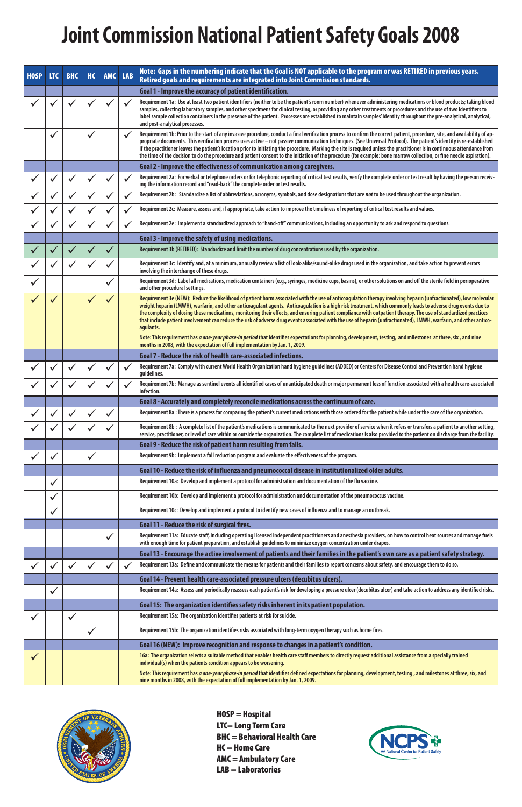# **Joint Commission National Patient Safety Goals 2008**

HOSP = Hospital LTC= Long Term Care BHC = Behavioral Health Care HC = Home Care AMC = Ambulatory Care  $LAB =$ Laboratories



| <b>HOSP</b> | <b>LTC</b> | <b>BHC</b>   | <b>HC</b>    | <b>AMC</b>   | <b>LAB</b>   | Note: Gaps in the numbering indicate that the Goal is NOT applicable to the program or was RETIRED in previous years.<br>Retired goals and requirements are integrated into Joint Commission standards.                                                                                                                                                                                                                                                                                                                                                                                                                                                                                                     |
|-------------|------------|--------------|--------------|--------------|--------------|-------------------------------------------------------------------------------------------------------------------------------------------------------------------------------------------------------------------------------------------------------------------------------------------------------------------------------------------------------------------------------------------------------------------------------------------------------------------------------------------------------------------------------------------------------------------------------------------------------------------------------------------------------------------------------------------------------------|
|             |            |              |              |              |              | Goal 1 - Improve the accuracy of patient identification.                                                                                                                                                                                                                                                                                                                                                                                                                                                                                                                                                                                                                                                    |
|             |            |              |              |              | $\checkmark$ | Requirement 1a: Use at least two patient identifiers (neither to be the patient's room number) whenever administering medications or blood products; taking blood<br>samples, collecting laboratory samples, and other specimens for clinical testing, or providing any other treatments or procedures and the use of two identifiers to<br>label sample collection containers in the presence of the patient. Processes are established to maintain samples' identity throughout the pre-analytical, analytical,<br>and post-analytical processes.                                                                                                                                                         |
|             |            |              | $\checkmark$ |              |              | Requirement 1b: Prior to the start of any invasive procedure, conduct a final verification process to confirm the correct patient, procedure, site, and availability of ap-<br>propriate documents. This verification process uses active - not passive communication techniques. (See Universal Protocol). The patient's identity is re-established<br>if the practitioner leaves the patient's location prior to initiating the procedure. Marking the site is required unless the practitioner is in continuous attendance from<br>the time of the decision to do the procedure and patient consent to the initiation of the procedure (for example: bone marrow collection, or fine needle aspiration). |
|             |            |              |              |              |              | Goal 2 - Improve the effectiveness of communication among caregivers.                                                                                                                                                                                                                                                                                                                                                                                                                                                                                                                                                                                                                                       |
|             |            |              |              |              |              | Requirement 2a: For verbal or telephone orders or for telephonic reporting of critical test results, verify the complete order or test result by having the person receiv-<br>ing the information record and "read-back" the complete order or test results.                                                                                                                                                                                                                                                                                                                                                                                                                                                |
|             |            |              |              |              |              | Requirement 2b: Standardize a list of abbreviations, acronyms, symbols, and dose designations that are not to be used throughout the organization.                                                                                                                                                                                                                                                                                                                                                                                                                                                                                                                                                          |
|             |            |              |              |              |              | Requirement 2c: Measure, assess and, if appropriate, take action to improve the timeliness of reporting of critical test results and values.                                                                                                                                                                                                                                                                                                                                                                                                                                                                                                                                                                |
|             |            |              |              |              |              | Requirement 2e: Implement a standardized approach to "hand-off" communications, including an opportunity to ask and respond to questions.                                                                                                                                                                                                                                                                                                                                                                                                                                                                                                                                                                   |
|             |            |              |              |              |              | Goal 3 - Improve the safety of using medications.                                                                                                                                                                                                                                                                                                                                                                                                                                                                                                                                                                                                                                                           |
|             |            |              |              |              |              | Requirement 3b (RETIRED): Standardize and limit the number of drug concentrations used by the organization.                                                                                                                                                                                                                                                                                                                                                                                                                                                                                                                                                                                                 |
|             |            |              |              |              |              | Requirement 3c: Identify and, at a minimum, annually review a list of look-alike/sound-alike drugs used in the organization, and take action to prevent errors<br>involving the interchange of these drugs.                                                                                                                                                                                                                                                                                                                                                                                                                                                                                                 |
|             |            |              |              |              |              | Requirement 3d: Label all medications, medication containers (e.g., syringes, medicine cups, basins), or other solutions on and off the sterile field in perioperative<br>and other procedural settings.                                                                                                                                                                                                                                                                                                                                                                                                                                                                                                    |
|             |            |              |              |              |              | Requirement 3e (NEW): Reduce the likelihood of patient harm associated with the use of anticoagulation therapy involving heparin (unfractionated), low molecular<br>weight heparin (LMWH), warfarin, and other anticoagulant agents. Anticoagulation is a high risk treatment, which commonly leads to adverse drug events due to<br>the complexity of dosing these medications, monitoring their effects, and ensuring patient compliance with outpatient therapy. The use of standardized practices<br>that include patient involvement can reduce the risk of adverse drug events associated with the use of heparin (unfractionated), LMWH, warfarin, and other antico-<br>agulants.                    |
|             |            |              |              |              |              | Note: This requirement has a one-year phase-in period that identifies expectations for planning, development, testing, and milestones at three, six, and nine<br>months in 2008, with the expectation of full implementation by Jan. 1, 2009.                                                                                                                                                                                                                                                                                                                                                                                                                                                               |
|             |            |              |              |              |              | Goal 7 - Reduce the risk of health care-associated infections.                                                                                                                                                                                                                                                                                                                                                                                                                                                                                                                                                                                                                                              |
|             |            |              |              |              |              | Requirement 7a: Comply with current World Health Organization hand hygiene guidelines (ADDED) or Centers for Disease Control and Prevention hand hygiene<br>guidelines.                                                                                                                                                                                                                                                                                                                                                                                                                                                                                                                                     |
|             |            |              |              |              |              | Requirement 7b: Manage as sentinel events all identified cases of unanticipated death or major permanent loss of function associated with a health care-associated<br>infection.                                                                                                                                                                                                                                                                                                                                                                                                                                                                                                                            |
|             |            |              |              |              |              | Goal 8 - Accurately and completely reconcile medications across the continuum of care.                                                                                                                                                                                                                                                                                                                                                                                                                                                                                                                                                                                                                      |
|             |            |              |              |              |              | Requirement 8a : There is a process for comparing the patient's current medications with those ordered for the patient while under the care of the organization.                                                                                                                                                                                                                                                                                                                                                                                                                                                                                                                                            |
|             |            |              |              |              |              | Requirement 8b : A complete list of the patient's medications is communicated to the next provider of service when it refers or transfers a patient to another setting,<br>service, practitioner, or level of care within or outside the organization. The complete list of medications is also provided to the patient on discharge from the facility.                                                                                                                                                                                                                                                                                                                                                     |
|             |            |              |              |              |              | Goal 9 - Reduce the risk of patient harm resulting from falls.                                                                                                                                                                                                                                                                                                                                                                                                                                                                                                                                                                                                                                              |
|             |            |              | $\checkmark$ |              |              | Requirement 9b: Implement a fall reduction program and evaluate the effectiveness of the program.                                                                                                                                                                                                                                                                                                                                                                                                                                                                                                                                                                                                           |
|             |            |              |              |              |              | Goal 10 - Reduce the risk of influenza and pneumococcal disease in institutionalized older adults.                                                                                                                                                                                                                                                                                                                                                                                                                                                                                                                                                                                                          |
|             |            |              |              |              |              | Requirement 10a: Develop and implement a protocol for administration and documentation of the flu vaccine.                                                                                                                                                                                                                                                                                                                                                                                                                                                                                                                                                                                                  |
|             | ✔          |              |              |              |              | Requirement 10b: Develop and implement a protocol for administration and documentation of the pneumococcus vaccine.                                                                                                                                                                                                                                                                                                                                                                                                                                                                                                                                                                                         |
|             | ✔          |              |              |              |              | Requirement 10c: Develop and implement a protocol to identify new cases of influenza and to manage an outbreak.                                                                                                                                                                                                                                                                                                                                                                                                                                                                                                                                                                                             |
|             |            |              |              |              |              | Goal 11 - Reduce the risk of surgical fires.                                                                                                                                                                                                                                                                                                                                                                                                                                                                                                                                                                                                                                                                |
|             |            |              |              | $\checkmark$ |              | Requirement 11a: Educate staff, including operating licensed independent practitioners and anesthesia providers, on how to control heat sources and manage fuels<br>with enough time for patient preparation, and establish guidelines to minimize oxygen concentration under drapes.                                                                                                                                                                                                                                                                                                                                                                                                                       |
|             |            |              |              |              |              | Goal 13 - Encourage the active involvement of patients and their families in the patient's own care as a patient safety strategy.                                                                                                                                                                                                                                                                                                                                                                                                                                                                                                                                                                           |
|             |            |              |              |              | $\checkmark$ | Requirement 13a: Define and communicate the means for patients and their families to report concerns about safety, and encourage them to do so.                                                                                                                                                                                                                                                                                                                                                                                                                                                                                                                                                             |
|             |            |              |              |              |              | Goal 14 - Prevent health care-associated pressure ulcers (decubitus ulcers).                                                                                                                                                                                                                                                                                                                                                                                                                                                                                                                                                                                                                                |
|             | ✔          |              |              |              |              | Requirement 14a: Assess and periodically reassess each patient's risk for developing a pressure ulcer (decubitus ulcer) and take action to address any identified risks.                                                                                                                                                                                                                                                                                                                                                                                                                                                                                                                                    |
|             |            |              |              |              |              | Goal 15: The organization identifies safety risks inherent in its patient population.                                                                                                                                                                                                                                                                                                                                                                                                                                                                                                                                                                                                                       |
|             |            | $\checkmark$ |              |              |              | Requirement 15a: The organization identifies patients at risk for suicide.                                                                                                                                                                                                                                                                                                                                                                                                                                                                                                                                                                                                                                  |
|             |            |              | $\checkmark$ |              |              | Requirement 15b: The organization identifies risks associated with long-term oxygen therapy such as home fires.                                                                                                                                                                                                                                                                                                                                                                                                                                                                                                                                                                                             |
|             |            |              |              |              |              | Goal 16 (NEW): Improve recognition and response to changes in a patient's condition.                                                                                                                                                                                                                                                                                                                                                                                                                                                                                                                                                                                                                        |
|             |            |              |              |              |              | 16a: The organization selects a suitable method that enables health care staff members to directly request additional assistance from a specially trained<br>individual(s) when the patients condition appears to be worsening.                                                                                                                                                                                                                                                                                                                                                                                                                                                                             |
|             |            |              |              |              |              | Note: This requirement has a one-year phase-in period that identifies defined expectations for planning, development, testing, and milestones at three, six, and<br>nine months in 2008, with the expectation of full implementation by Jan. 1, 2009.                                                                                                                                                                                                                                                                                                                                                                                                                                                       |